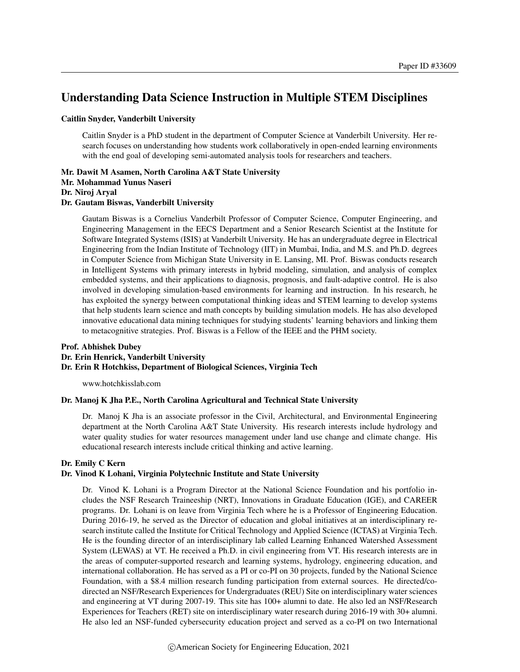# Understanding Data Science Instruction in Multiple STEM Disciplines

#### Caitlin Snyder, Vanderbilt University

Caitlin Snyder is a PhD student in the department of Computer Science at Vanderbilt University. Her research focuses on understanding how students work collaboratively in open-ended learning environments with the end goal of developing semi-automated analysis tools for researchers and teachers.

Mr. Dawit M Asamen, North Carolina A&T State University Mr. Mohammad Yunus Naseri Dr. Niroj Aryal Dr. Gautam Biswas, Vanderbilt University

Gautam Biswas is a Cornelius Vanderbilt Professor of Computer Science, Computer Engineering, and Engineering Management in the EECS Department and a Senior Research Scientist at the Institute for Software Integrated Systems (ISIS) at Vanderbilt University. He has an undergraduate degree in Electrical Engineering from the Indian Institute of Technology (IIT) in Mumbai, India, and M.S. and Ph.D. degrees in Computer Science from Michigan State University in E. Lansing, MI. Prof. Biswas conducts research in Intelligent Systems with primary interests in hybrid modeling, simulation, and analysis of complex embedded systems, and their applications to diagnosis, prognosis, and fault-adaptive control. He is also involved in developing simulation-based environments for learning and instruction. In his research, he has exploited the synergy between computational thinking ideas and STEM learning to develop systems that help students learn science and math concepts by building simulation models. He has also developed innovative educational data mining techniques for studying students' learning behaviors and linking them to metacognitive strategies. Prof. Biswas is a Fellow of the IEEE and the PHM society.

#### Prof. Abhishek Dubey Dr. Erin Henrick, Vanderbilt University Dr. Erin R Hotchkiss, Department of Biological Sciences, Virginia Tech

www.hotchkisslab.com

#### Dr. Manoj K Jha P.E., North Carolina Agricultural and Technical State University

Dr. Manoj K Jha is an associate professor in the Civil, Architectural, and Environmental Engineering department at the North Carolina A&T State University. His research interests include hydrology and water quality studies for water resources management under land use change and climate change. His educational research interests include critical thinking and active learning.

#### Dr. Emily C Kern

#### Dr. Vinod K Lohani, Virginia Polytechnic Institute and State University

Dr. Vinod K. Lohani is a Program Director at the National Science Foundation and his portfolio includes the NSF Research Traineeship (NRT), Innovations in Graduate Education (IGE), and CAREER programs. Dr. Lohani is on leave from Virginia Tech where he is a Professor of Engineering Education. During 2016-19, he served as the Director of education and global initiatives at an interdisciplinary research institute called the Institute for Critical Technology and Applied Science (ICTAS) at Virginia Tech. He is the founding director of an interdisciplinary lab called Learning Enhanced Watershed Assessment System (LEWAS) at VT. He received a Ph.D. in civil engineering from VT. His research interests are in the areas of computer-supported research and learning systems, hydrology, engineering education, and international collaboration. He has served as a PI or co-PI on 30 projects, funded by the National Science Foundation, with a \$8.4 million research funding participation from external sources. He directed/codirected an NSF/Research Experiences for Undergraduates (REU) Site on interdisciplinary water sciences and engineering at VT during 2007-19. This site has 100+ alumni to date. He also led an NSF/Research Experiences for Teachers (RET) site on interdisciplinary water research during 2016-19 with 30+ alumni. He also led an NSF-funded cybersecurity education project and served as a co-PI on two International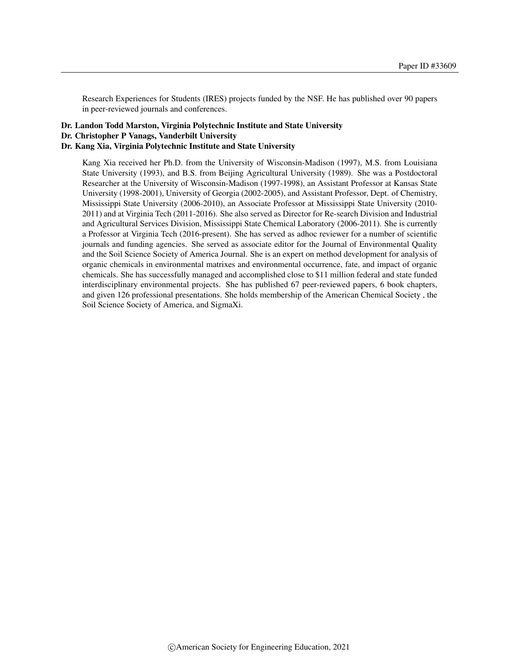Research Experiences for Students (IRES) projects funded by the NSF. He has published over 90 papers in peer-reviewed journals and conferences.

#### Dr. Landon Todd Marston, Virginia Polytechnic Institute and State University Dr. Christopher P Vanags, Vanderbilt University Dr. Kang Xia, Virginia Polytechnic Institute and State University

Kang Xia received her Ph.D. from the University of Wisconsin-Madison (1997), M.S. from Louisiana State University (1993), and B.S. from Beijing Agricultural University (1989). She was a Postdoctoral Researcher at the University of Wisconsin-Madison (1997-1998), an Assistant Professor at Kansas State University (1998-2001), University of Georgia (2002-2005), and Assistant Professor, Dept. of Chemistry, Mississippi State University (2006-2010), an Associate Professor at Mississippi State University (2010- 2011) and at Virginia Tech (2011-2016). She also served as Director for Re-search Division and Industrial and Agricultural Services Division, Mississippi State Chemical Laboratory (2006-2011). She is currently a Professor at Virginia Tech (2016-present). She has served as adhoc reviewer for a number of scientific journals and funding agencies. She served as associate editor for the Journal of Environmental Quality and the Soil Science Society of America Journal. She is an expert on method development for analysis of organic chemicals in environmental matrixes and environmental occurrence, fate, and impact of organic chemicals. She has successfully managed and accomplished close to \$11 million federal and state funded interdisciplinary environmental projects. She has published 67 peer-reviewed papers, 6 book chapters, and given 126 professional presentations. She holds membership of the American Chemical Society , the Soil Science Society of America, and SigmaXi.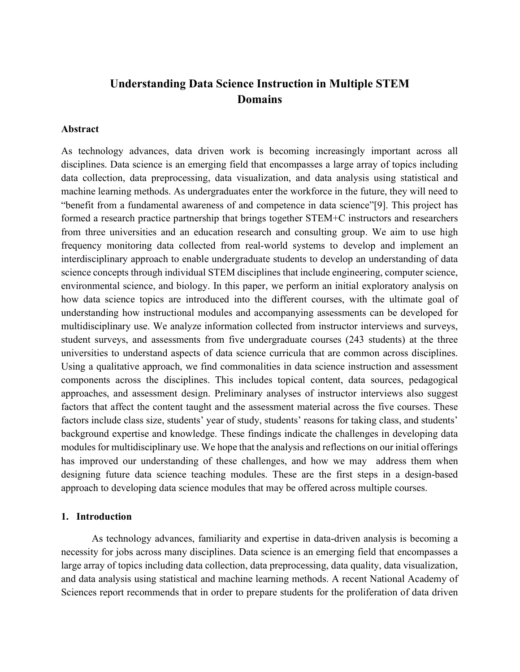# Understanding Data Science Instruction in Multiple STEM **Domains**

### Abstract

As technology advances, data driven work is becoming increasingly important across all disciplines. Data science is an emerging field that encompasses a large array of topics including data collection, data preprocessing, data visualization, and data analysis using statistical and machine learning methods. As undergraduates enter the workforce in the future, they will need to "benefit from a fundamental awareness of and competence in data science"[9]. This project has formed a research practice partnership that brings together STEM+C instructors and researchers from three universities and an education research and consulting group. We aim to use high frequency monitoring data collected from real-world systems to develop and implement an interdisciplinary approach to enable undergraduate students to develop an understanding of data science concepts through individual STEM disciplines that include engineering, computer science, environmental science, and biology. In this paper, we perform an initial exploratory analysis on how data science topics are introduced into the different courses, with the ultimate goal of understanding how instructional modules and accompanying assessments can be developed for multidisciplinary use. We analyze information collected from instructor interviews and surveys, student surveys, and assessments from five undergraduate courses (243 students) at the three universities to understand aspects of data science curricula that are common across disciplines. Using a qualitative approach, we find commonalities in data science instruction and assessment components across the disciplines. This includes topical content, data sources, pedagogical approaches, and assessment design. Preliminary analyses of instructor interviews also suggest factors that affect the content taught and the assessment material across the five courses. These factors include class size, students' year of study, students' reasons for taking class, and students' background expertise and knowledge. These findings indicate the challenges in developing data modules for multidisciplinary use. We hope that the analysis and reflections on our initial offerings has improved our understanding of these challenges, and how we may address them when designing future data science teaching modules. These are the first steps in a design-based approach to developing data science modules that may be offered across multiple courses.

#### 1. Introduction

As technology advances, familiarity and expertise in data-driven analysis is becoming a necessity for jobs across many disciplines. Data science is an emerging field that encompasses a large array of topics including data collection, data preprocessing, data quality, data visualization, and data analysis using statistical and machine learning methods. A recent National Academy of Sciences report recommends that in order to prepare students for the proliferation of data driven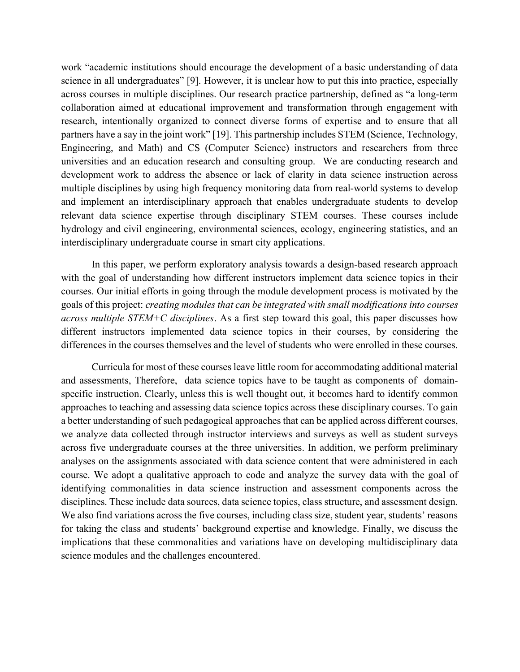work "academic institutions should encourage the development of a basic understanding of data science in all undergraduates" [9]. However, it is unclear how to put this into practice, especially across courses in multiple disciplines. Our research practice partnership, defined as "a long-term collaboration aimed at educational improvement and transformation through engagement with research, intentionally organized to connect diverse forms of expertise and to ensure that all partners have a say in the joint work" [19]. This partnership includes STEM (Science, Technology, Engineering, and Math) and CS (Computer Science) instructors and researchers from three universities and an education research and consulting group. We are conducting research and development work to address the absence or lack of clarity in data science instruction across multiple disciplines by using high frequency monitoring data from real-world systems to develop and implement an interdisciplinary approach that enables undergraduate students to develop relevant data science expertise through disciplinary STEM courses. These courses include hydrology and civil engineering, environmental sciences, ecology, engineering statistics, and an interdisciplinary undergraduate course in smart city applications.

In this paper, we perform exploratory analysis towards a design-based research approach with the goal of understanding how different instructors implement data science topics in their courses. Our initial efforts in going through the module development process is motivated by the goals of this project: creating modules that can be integrated with small modifications into courses across multiple  $STEM+C$  disciplines. As a first step toward this goal, this paper discusses how different instructors implemented data science topics in their courses, by considering the differences in the courses themselves and the level of students who were enrolled in these courses.

Curricula for most of these courses leave little room for accommodating additional material and assessments, Therefore, data science topics have to be taught as components of domainspecific instruction. Clearly, unless this is well thought out, it becomes hard to identify common approaches to teaching and assessing data science topics across these disciplinary courses. To gain a better understanding of such pedagogical approaches that can be applied across different courses, we analyze data collected through instructor interviews and surveys as well as student surveys across five undergraduate courses at the three universities. In addition, we perform preliminary analyses on the assignments associated with data science content that were administered in each course. We adopt a qualitative approach to code and analyze the survey data with the goal of identifying commonalities in data science instruction and assessment components across the disciplines. These include data sources, data science topics, class structure, and assessment design. We also find variations across the five courses, including class size, student year, students' reasons for taking the class and students' background expertise and knowledge. Finally, we discuss the implications that these commonalities and variations have on developing multidisciplinary data science modules and the challenges encountered.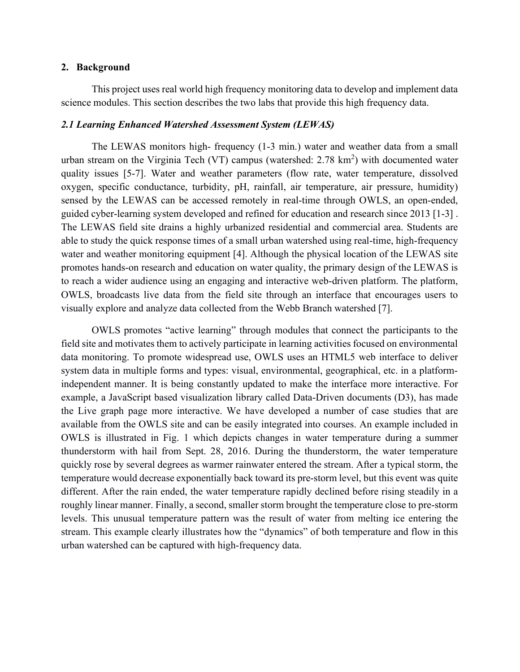### 2. Background

 This project uses real world high frequency monitoring data to develop and implement data science modules. This section describes the two labs that provide this high frequency data.

### 2.1 Learning Enhanced Watershed Assessment System (LEWAS)

 The LEWAS monitors high- frequency (1-3 min.) water and weather data from a small urban stream on the Virginia Tech (VT) campus (watershed:  $2.78 \text{ km}^2$ ) with documented water quality issues [5-7]. Water and weather parameters (flow rate, water temperature, dissolved oxygen, specific conductance, turbidity, pH, rainfall, air temperature, air pressure, humidity) sensed by the LEWAS can be accessed remotely in real-time through OWLS, an open-ended, guided cyber-learning system developed and refined for education and research since 2013 [1-3] . The LEWAS field site drains a highly urbanized residential and commercial area. Students are able to study the quick response times of a small urban watershed using real-time, high-frequency water and weather monitoring equipment [4]. Although the physical location of the LEWAS site promotes hands-on research and education on water quality, the primary design of the LEWAS is to reach a wider audience using an engaging and interactive web-driven platform. The platform, OWLS, broadcasts live data from the field site through an interface that encourages users to visually explore and analyze data collected from the Webb Branch watershed [7].

OWLS promotes "active learning" through modules that connect the participants to the field site and motivates them to actively participate in learning activities focused on environmental data monitoring. To promote widespread use, OWLS uses an HTML5 web interface to deliver system data in multiple forms and types: visual, environmental, geographical, etc. in a platformindependent manner. It is being constantly updated to make the interface more interactive. For example, a JavaScript based visualization library called Data-Driven documents (D3), has made the Live graph page more interactive. We have developed a number of case studies that are available from the OWLS site and can be easily integrated into courses. An example included in OWLS is illustrated in Fig. 1 which depicts changes in water temperature during a summer thunderstorm with hail from Sept. 28, 2016. During the thunderstorm, the water temperature quickly rose by several degrees as warmer rainwater entered the stream. After a typical storm, the temperature would decrease exponentially back toward its pre-storm level, but this event was quite different. After the rain ended, the water temperature rapidly declined before rising steadily in a roughly linear manner. Finally, a second, smaller storm brought the temperature close to pre-storm levels. This unusual temperature pattern was the result of water from melting ice entering the stream. This example clearly illustrates how the "dynamics" of both temperature and flow in this urban watershed can be captured with high-frequency data.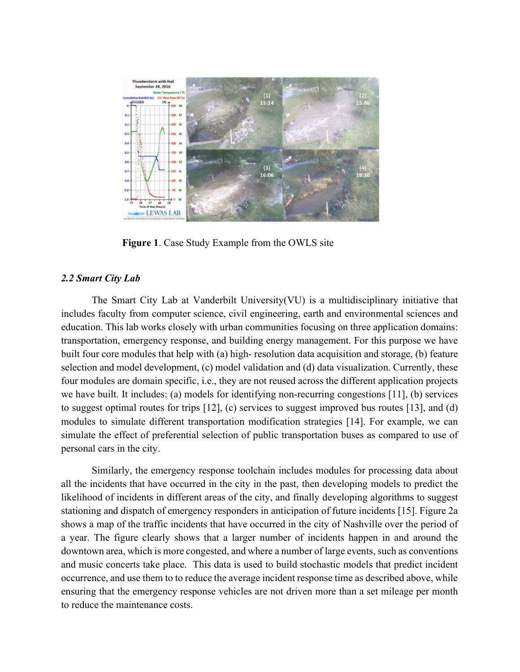

Figure 1. Case Study Example from the OWLS site

### 2.2 Smart City Lab

The Smart City Lab at Vanderbilt University(VU) is a multidisciplinary initiative that includes faculty from computer science, civil engineering, earth and environmental sciences and education. This lab works closely with urban communities focusing on three application domains: transportation, emergency response, and building energy management. For this purpose we have built four core modules that help with (a) high- resolution data acquisition and storage, (b) feature selection and model development, (c) model validation and (d) data visualization. Currently, these four modules are domain specific, i.e., they are not reused across the different application projects we have built. It includes: (a) models for identifying non-recurring congestions [11], (b) services to suggest optimal routes for trips [12], (c) services to suggest improved bus routes [13], and (d) modules to simulate different transportation modification strategies [14]. For example, we can simulate the effect of preferential selection of public transportation buses as compared to use of personal cars in the city.

Similarly, the emergency response toolchain includes modules for processing data about all the incidents that have occurred in the city in the past, then developing models to predict the likelihood of incidents in different areas of the city, and finally developing algorithms to suggest stationing and dispatch of emergency responders in anticipation of future incidents [15]. Figure 2a shows a map of the traffic incidents that have occurred in the city of Nashville over the period of a year. The figure clearly shows that a larger number of incidents happen in and around the downtown area, which is more congested, and where a number of large events, such as conventions and music concerts take place. This data is used to build stochastic models that predict incident occurrence, and use them to to reduce the average incident response time as described above, while ensuring that the emergency response vehicles are not driven more than a set mileage per month to reduce the maintenance costs.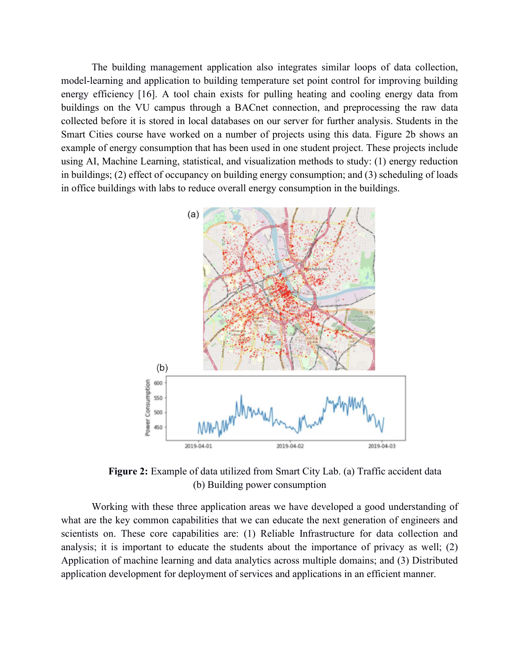The building management application also integrates similar loops of data collection, model-learning and application to building temperature set point control for improving building energy efficiency [16]. A tool chain exists for pulling heating and cooling energy data from buildings on the VU campus through a BACnet connection, and preprocessing the raw data collected before it is stored in local databases on our server for further analysis. Students in the Smart Cities course have worked on a number of projects using this data. Figure 2b shows an example of energy consumption that has been used in one student project. These projects include using AI, Machine Learning, statistical, and visualization methods to study: (1) energy reduction in buildings; (2) effect of occupancy on building energy consumption; and (3) scheduling of loads in office buildings with labs to reduce overall energy consumption in the buildings.



Figure 2: Example of data utilized from Smart City Lab. (a) Traffic accident data (b) Building power consumption

Working with these three application areas we have developed a good understanding of what are the key common capabilities that we can educate the next generation of engineers and scientists on. These core capabilities are: (1) Reliable Infrastructure for data collection and analysis; it is important to educate the students about the importance of privacy as well; (2) Application of machine learning and data analytics across multiple domains; and (3) Distributed application development for deployment of services and applications in an efficient manner.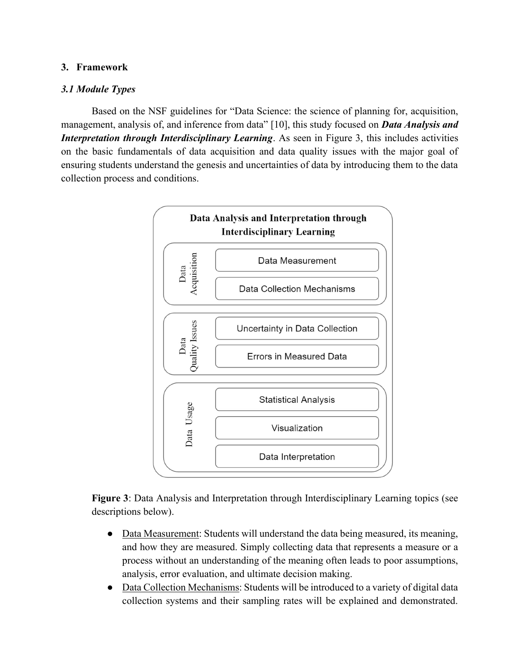### 3. Framework

### 3.1 Module Types

Based on the NSF guidelines for "Data Science: the science of planning for, acquisition, management, analysis of, and inference from data" [10], this study focused on **Data Analysis and** Interpretation through Interdisciplinary Learning. As seen in Figure 3, this includes activities on the basic fundamentals of data acquisition and data quality issues with the major goal of ensuring students understand the genesis and uncertainties of data by introducing them to the data collection process and conditions.



Figure 3: Data Analysis and Interpretation through Interdisciplinary Learning topics (see descriptions below).

- Data Measurement: Students will understand the data being measured, its meaning, and how they are measured. Simply collecting data that represents a measure or a process without an understanding of the meaning often leads to poor assumptions, analysis, error evaluation, and ultimate decision making.
- Data Collection Mechanisms: Students will be introduced to a variety of digital data collection systems and their sampling rates will be explained and demonstrated.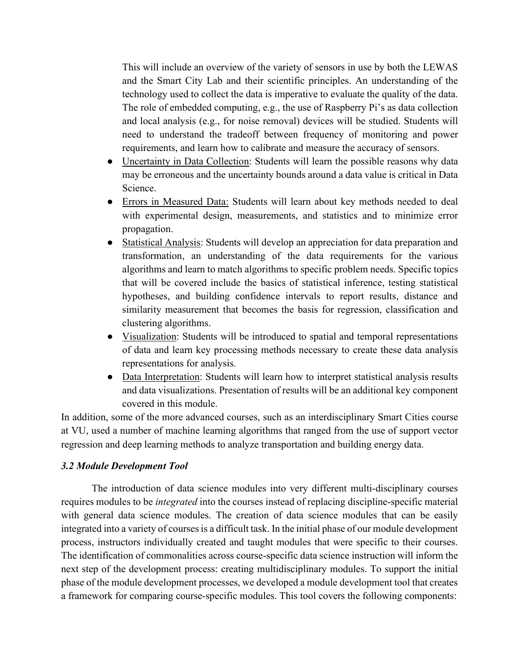This will include an overview of the variety of sensors in use by both the LEWAS and the Smart City Lab and their scientific principles. An understanding of the technology used to collect the data is imperative to evaluate the quality of the data. The role of embedded computing, e.g., the use of Raspberry Pi's as data collection and local analysis (e.g., for noise removal) devices will be studied. Students will need to understand the tradeoff between frequency of monitoring and power requirements, and learn how to calibrate and measure the accuracy of sensors.

- Uncertainty in Data Collection: Students will learn the possible reasons why data may be erroneous and the uncertainty bounds around a data value is critical in Data Science.
- Errors in Measured Data: Students will learn about key methods needed to deal with experimental design, measurements, and statistics and to minimize error propagation.
- Statistical Analysis: Students will develop an appreciation for data preparation and transformation, an understanding of the data requirements for the various algorithms and learn to match algorithms to specific problem needs. Specific topics that will be covered include the basics of statistical inference, testing statistical hypotheses, and building confidence intervals to report results, distance and similarity measurement that becomes the basis for regression, classification and clustering algorithms.
- Visualization: Students will be introduced to spatial and temporal representations of data and learn key processing methods necessary to create these data analysis representations for analysis.
- Data Interpretation: Students will learn how to interpret statistical analysis results and data visualizations. Presentation of results will be an additional key component covered in this module.

In addition, some of the more advanced courses, such as an interdisciplinary Smart Cities course at VU, used a number of machine learning algorithms that ranged from the use of support vector regression and deep learning methods to analyze transportation and building energy data.

### 3.2 Module Development Tool

 The introduction of data science modules into very different multi-disciplinary courses requires modules to be integrated into the courses instead of replacing discipline-specific material with general data science modules. The creation of data science modules that can be easily integrated into a variety of courses is a difficult task. In the initial phase of our module development process, instructors individually created and taught modules that were specific to their courses. The identification of commonalities across course-specific data science instruction will inform the next step of the development process: creating multidisciplinary modules. To support the initial phase of the module development processes, we developed a module development tool that creates a framework for comparing course-specific modules. This tool covers the following components: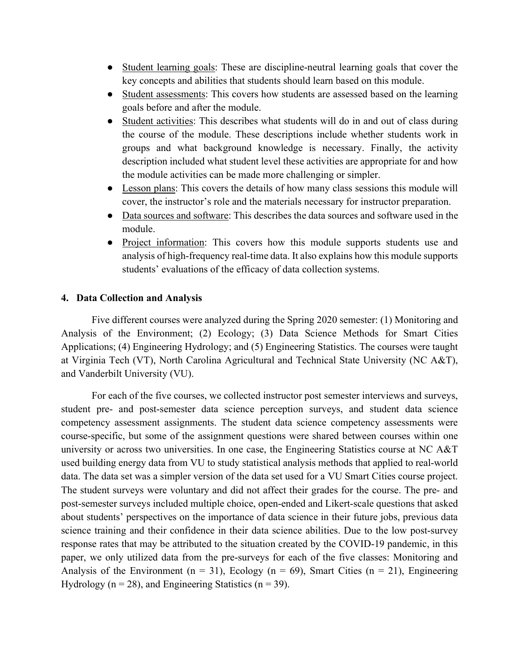- Student learning goals: These are discipline-neutral learning goals that cover the key concepts and abilities that students should learn based on this module.
- Student assessments: This covers how students are assessed based on the learning goals before and after the module.
- Student activities: This describes what students will do in and out of class during the course of the module. These descriptions include whether students work in groups and what background knowledge is necessary. Finally, the activity description included what student level these activities are appropriate for and how the module activities can be made more challenging or simpler.
- Lesson plans: This covers the details of how many class sessions this module will cover, the instructor's role and the materials necessary for instructor preparation.
- Data sources and software: This describes the data sources and software used in the module.
- Project information: This covers how this module supports students use and analysis of high-frequency real-time data. It also explains how this module supports students' evaluations of the efficacy of data collection systems.

#### 4. Data Collection and Analysis

Five different courses were analyzed during the Spring 2020 semester: (1) Monitoring and Analysis of the Environment; (2) Ecology; (3) Data Science Methods for Smart Cities Applications; (4) Engineering Hydrology; and (5) Engineering Statistics. The courses were taught at Virginia Tech (VT), North Carolina Agricultural and Technical State University (NC A&T), and Vanderbilt University (VU).

For each of the five courses, we collected instructor post semester interviews and surveys, student pre- and post-semester data science perception surveys, and student data science competency assessment assignments. The student data science competency assessments were course-specific, but some of the assignment questions were shared between courses within one university or across two universities. In one case, the Engineering Statistics course at NC A&T used building energy data from VU to study statistical analysis methods that applied to real-world data. The data set was a simpler version of the data set used for a VU Smart Cities course project. The student surveys were voluntary and did not affect their grades for the course. The pre- and post-semester surveys included multiple choice, open-ended and Likert-scale questions that asked about students' perspectives on the importance of data science in their future jobs, previous data science training and their confidence in their data science abilities. Due to the low post-survey response rates that may be attributed to the situation created by the COVID-19 pandemic, in this paper, we only utilized data from the pre-surveys for each of the five classes: Monitoring and Analysis of the Environment ( $n = 31$ ), Ecology ( $n = 69$ ), Smart Cities ( $n = 21$ ), Engineering Hydrology ( $n = 28$ ), and Engineering Statistics ( $n = 39$ ).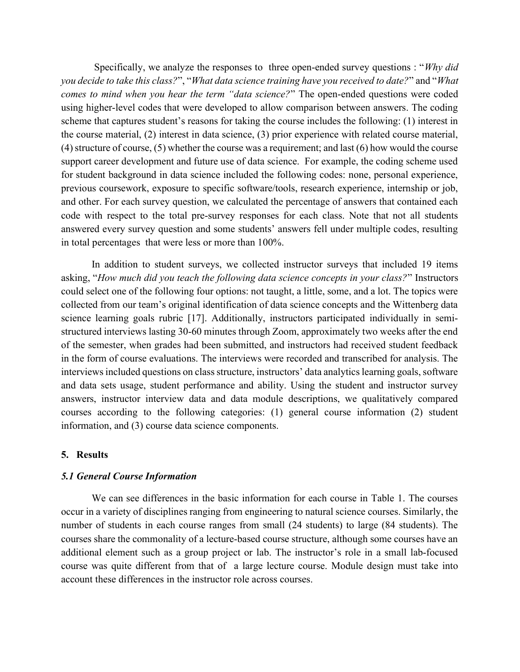Specifically, we analyze the responses to three open-ended survey questions : "Why did you decide to take this class?", "What data science training have you received to date?" and "What comes to mind when you hear the term "data science?" The open-ended questions were coded using higher-level codes that were developed to allow comparison between answers. The coding scheme that captures student's reasons for taking the course includes the following: (1) interest in the course material, (2) interest in data science, (3) prior experience with related course material, (4) structure of course, (5) whether the course was a requirement; and last (6) how would the course support career development and future use of data science. For example, the coding scheme used for student background in data science included the following codes: none, personal experience, previous coursework, exposure to specific software/tools, research experience, internship or job, and other. For each survey question, we calculated the percentage of answers that contained each code with respect to the total pre-survey responses for each class. Note that not all students answered every survey question and some students' answers fell under multiple codes, resulting in total percentages that were less or more than 100%.

In addition to student surveys, we collected instructor surveys that included 19 items asking, "How much did you teach the following data science concepts in your class?" Instructors could select one of the following four options: not taught, a little, some, and a lot. The topics were collected from our team's original identification of data science concepts and the Wittenberg data science learning goals rubric [17]. Additionally, instructors participated individually in semistructured interviews lasting 30-60 minutes through Zoom, approximately two weeks after the end of the semester, when grades had been submitted, and instructors had received student feedback in the form of course evaluations. The interviews were recorded and transcribed for analysis. The interviews included questions on class structure, instructors' data analytics learning goals, software and data sets usage, student performance and ability. Using the student and instructor survey answers, instructor interview data and data module descriptions, we qualitatively compared courses according to the following categories: (1) general course information (2) student information, and (3) course data science components.

#### 5. Results

### 5.1 General Course Information

 We can see differences in the basic information for each course in Table 1. The courses occur in a variety of disciplines ranging from engineering to natural science courses. Similarly, the number of students in each course ranges from small (24 students) to large (84 students). The courses share the commonality of a lecture-based course structure, although some courses have an additional element such as a group project or lab. The instructor's role in a small lab-focused course was quite different from that of a large lecture course. Module design must take into account these differences in the instructor role across courses.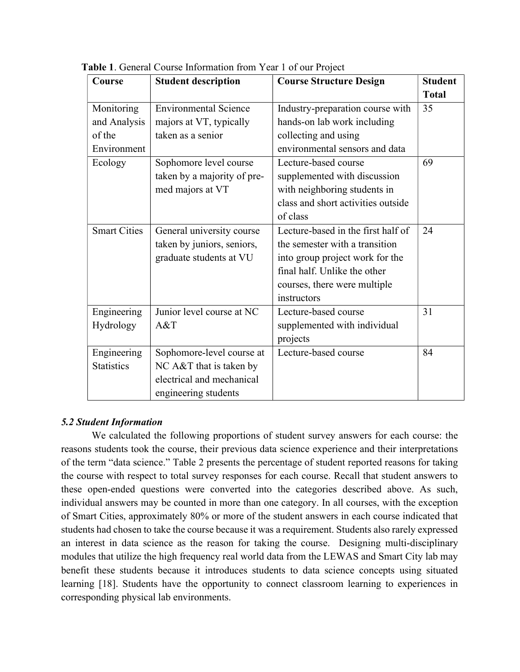| Course              | <b>Student description</b>   | <b>Course Structure Design</b>     | <b>Student</b> |
|---------------------|------------------------------|------------------------------------|----------------|
|                     |                              |                                    | <b>Total</b>   |
| Monitoring          | <b>Environmental Science</b> | Industry-preparation course with   | 35             |
| and Analysis        | majors at VT, typically      | hands-on lab work including        |                |
| of the              | taken as a senior            | collecting and using               |                |
| Environment         |                              | environmental sensors and data     |                |
| Ecology             | Sophomore level course       | Lecture-based course               | 69             |
|                     | taken by a majority of pre-  | supplemented with discussion       |                |
|                     | med majors at VT             | with neighboring students in       |                |
|                     |                              | class and short activities outside |                |
|                     |                              | of class                           |                |
| <b>Smart Cities</b> | General university course    | Lecture-based in the first half of | 24             |
|                     | taken by juniors, seniors,   | the semester with a transition     |                |
|                     | graduate students at VU      | into group project work for the    |                |
|                     |                              | final half. Unlike the other       |                |
|                     |                              | courses, there were multiple       |                |
|                     |                              | instructors                        |                |
| Engineering         | Junior level course at NC    | Lecture-based course               | 31             |
| Hydrology           | A&T                          | supplemented with individual       |                |
|                     |                              | projects                           |                |
| Engineering         | Sophomore-level course at    | Lecture-based course               | 84             |
| <b>Statistics</b>   | NC A&T that is taken by      |                                    |                |
|                     | electrical and mechanical    |                                    |                |
|                     | engineering students         |                                    |                |

Table 1. General Course Information from Year 1 of our Project

# 5.2 Student Information

 We calculated the following proportions of student survey answers for each course: the reasons students took the course, their previous data science experience and their interpretations of the term "data science." Table 2 presents the percentage of student reported reasons for taking the course with respect to total survey responses for each course. Recall that student answers to these open-ended questions were converted into the categories described above. As such, individual answers may be counted in more than one category. In all courses, with the exception of Smart Cities, approximately 80% or more of the student answers in each course indicated that students had chosen to take the course because it was a requirement. Students also rarely expressed an interest in data science as the reason for taking the course. Designing multi-disciplinary modules that utilize the high frequency real world data from the LEWAS and Smart City lab may benefit these students because it introduces students to data science concepts using situated learning [18]. Students have the opportunity to connect classroom learning to experiences in corresponding physical lab environments.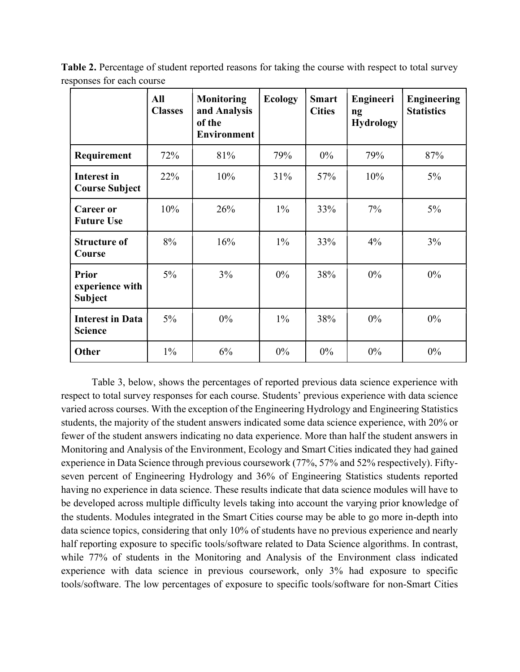|                                                   | All<br><b>Classes</b> | <b>Monitoring</b><br>and Analysis<br>of the<br><b>Environment</b> | <b>Ecology</b> | <b>Smart</b><br><b>Cities</b> | Engineeri<br>ng<br><b>Hydrology</b> | <b>Engineering</b><br><b>Statistics</b> |
|---------------------------------------------------|-----------------------|-------------------------------------------------------------------|----------------|-------------------------------|-------------------------------------|-----------------------------------------|
| Requirement                                       | 72%                   | 81%                                                               | 79%            | $0\%$                         | 79%                                 | 87%                                     |
| <b>Interest in</b><br><b>Course Subject</b>       | 22%                   | 10%                                                               | 31%            | 57%                           | 10%                                 | $5\%$                                   |
| <b>Career or</b><br><b>Future Use</b>             | 10%                   | 26%                                                               | $1\%$          | 33%                           | 7%                                  | $5\%$                                   |
| <b>Structure of</b><br>Course                     | 8%                    | 16%                                                               | $1\%$          | 33%                           | 4%                                  | $3\%$                                   |
| <b>Prior</b><br>experience with<br><b>Subject</b> | $5\%$                 | 3%                                                                | $0\%$          | 38%                           | $0\%$                               | $0\%$                                   |
| <b>Interest in Data</b><br><b>Science</b>         | $5\%$                 | $0\%$                                                             | $1\%$          | 38%                           | $0\%$                               | $0\%$                                   |
| Other                                             | $1\%$                 | 6%                                                                | $0\%$          | 0%                            | $0\%$                               | $0\%$                                   |

Table 2. Percentage of student reported reasons for taking the course with respect to total survey responses for each course

 Table 3, below, shows the percentages of reported previous data science experience with respect to total survey responses for each course. Students' previous experience with data science varied across courses. With the exception of the Engineering Hydrology and Engineering Statistics students, the majority of the student answers indicated some data science experience, with 20% or fewer of the student answers indicating no data experience. More than half the student answers in Monitoring and Analysis of the Environment, Ecology and Smart Cities indicated they had gained experience in Data Science through previous coursework (77%, 57% and 52% respectively). Fiftyseven percent of Engineering Hydrology and 36% of Engineering Statistics students reported having no experience in data science. These results indicate that data science modules will have to be developed across multiple difficulty levels taking into account the varying prior knowledge of the students. Modules integrated in the Smart Cities course may be able to go more in-depth into data science topics, considering that only 10% of students have no previous experience and nearly half reporting exposure to specific tools/software related to Data Science algorithms. In contrast, while 77% of students in the Monitoring and Analysis of the Environment class indicated experience with data science in previous coursework, only 3% had exposure to specific tools/software. The low percentages of exposure to specific tools/software for non-Smart Cities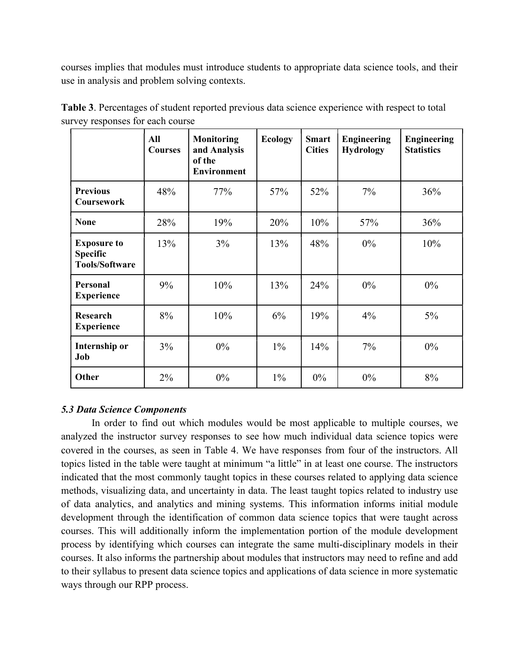courses implies that modules must introduce students to appropriate data science tools, and their use in analysis and problem solving contexts.

|                                                                | All<br><b>Courses</b> | <b>Monitoring</b><br>and Analysis<br>of the<br><b>Environment</b> | <b>Ecology</b> | <b>Smart</b><br><b>Cities</b> | <b>Engineering</b><br><b>Hydrology</b> | <b>Engineering</b><br><b>Statistics</b> |
|----------------------------------------------------------------|-----------------------|-------------------------------------------------------------------|----------------|-------------------------------|----------------------------------------|-----------------------------------------|
| <b>Previous</b><br><b>Coursework</b>                           | 48%                   | 77%                                                               | 57%            | 52%                           | $7\%$                                  | 36%                                     |
| <b>None</b>                                                    | 28%                   | 19%                                                               | 20%            | 10%                           | 57%                                    | 36%                                     |
| <b>Exposure to</b><br><b>Specific</b><br><b>Tools/Software</b> | 13%                   | $3\%$                                                             | 13%            | 48%                           | $0\%$                                  | 10%                                     |
| <b>Personal</b><br><b>Experience</b>                           | 9%                    | 10%                                                               | 13%            | 24%                           | $0\%$                                  | $0\%$                                   |
| <b>Research</b><br><b>Experience</b>                           | 8%                    | 10%                                                               | 6%             | 19%                           | 4%                                     | $5\%$                                   |
| Internship or<br>Job                                           | 3%                    | $0\%$                                                             | $1\%$          | 14%                           | 7%                                     | $0\%$                                   |
| Other                                                          | $2\%$                 | $0\%$                                                             | $1\%$          | $0\%$                         | $0\%$                                  | 8%                                      |

Table 3. Percentages of student reported previous data science experience with respect to total survey responses for each course

# 5.3 Data Science Components

 In order to find out which modules would be most applicable to multiple courses, we analyzed the instructor survey responses to see how much individual data science topics were covered in the courses, as seen in Table 4. We have responses from four of the instructors. All topics listed in the table were taught at minimum "a little" in at least one course. The instructors indicated that the most commonly taught topics in these courses related to applying data science methods, visualizing data, and uncertainty in data. The least taught topics related to industry use of data analytics, and analytics and mining systems. This information informs initial module development through the identification of common data science topics that were taught across courses. This will additionally inform the implementation portion of the module development process by identifying which courses can integrate the same multi-disciplinary models in their courses. It also informs the partnership about modules that instructors may need to refine and add to their syllabus to present data science topics and applications of data science in more systematic ways through our RPP process.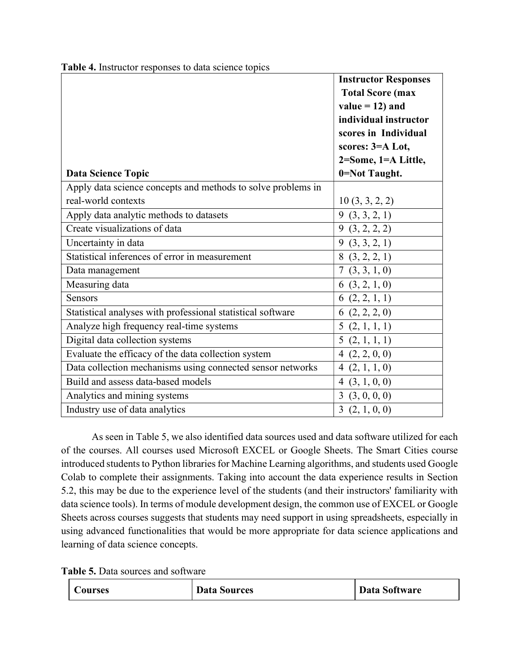| 0=Not Taught.<br><b>Data Science Topic</b><br>Apply data science concepts and methods to solve problems in<br>real-world contexts<br>10(3, 3, 2, 2)<br>Apply data analytic methods to datasets<br>9(3,3,2,1)<br>Create visualizations of data<br>9(3, 2, 2, 2)<br>Uncertainty in data<br>9(3, 3, 2, 1) |
|--------------------------------------------------------------------------------------------------------------------------------------------------------------------------------------------------------------------------------------------------------------------------------------------------------|
|                                                                                                                                                                                                                                                                                                        |
|                                                                                                                                                                                                                                                                                                        |
|                                                                                                                                                                                                                                                                                                        |
|                                                                                                                                                                                                                                                                                                        |
|                                                                                                                                                                                                                                                                                                        |
|                                                                                                                                                                                                                                                                                                        |
| Statistical inferences of error in measurement<br>8(3, 2, 2, 1)                                                                                                                                                                                                                                        |
| 7(3, 3, 1, 0)<br>Data management                                                                                                                                                                                                                                                                       |
| Measuring data<br>6(3, 2, 1, 0)                                                                                                                                                                                                                                                                        |
| 6(2, 2, 1, 1)<br><b>Sensors</b>                                                                                                                                                                                                                                                                        |
| Statistical analyses with professional statistical software<br>6(2, 2, 2, 0)                                                                                                                                                                                                                           |
| Analyze high frequency real-time systems<br>5(2, 1, 1, 1)                                                                                                                                                                                                                                              |
| Digital data collection systems<br>5(2, 1, 1, 1)                                                                                                                                                                                                                                                       |
| Evaluate the efficacy of the data collection system<br>4(2, 2, 0, 0)                                                                                                                                                                                                                                   |
| Data collection mechanisms using connected sensor networks<br>4(2, 1, 1, 0)                                                                                                                                                                                                                            |
| Build and assess data-based models<br>4(3, 1, 0, 0)                                                                                                                                                                                                                                                    |
| Analytics and mining systems<br>3(3,0,0,0)                                                                                                                                                                                                                                                             |
| Industry use of data analytics<br>3(2, 1, 0, 0)                                                                                                                                                                                                                                                        |

Table 4. Instructor responses to data science topics

 As seen in Table 5, we also identified data sources used and data software utilized for each of the courses. All courses used Microsoft EXCEL or Google Sheets. The Smart Cities course introduced students to Python libraries for Machine Learning algorithms, and students used Google Colab to complete their assignments. Taking into account the data experience results in Section 5.2, this may be due to the experience level of the students (and their instructors' familiarity with data science tools). In terms of module development design, the common use of EXCEL or Google Sheets across courses suggests that students may need support in using spreadsheets, especially in using advanced functionalities that would be more appropriate for data science applications and learning of data science concepts.

Table 5. Data sources and software

| l Courses | <b>Data Sources</b> | Data Software |
|-----------|---------------------|---------------|
|-----------|---------------------|---------------|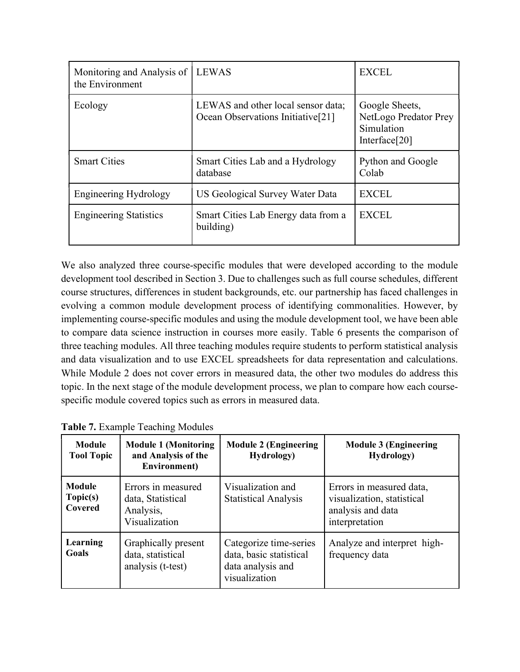| Monitoring and Analysis of<br>the Environment | <b>LEWAS</b>                                                                        | <b>EXCEL</b>                                                           |
|-----------------------------------------------|-------------------------------------------------------------------------------------|------------------------------------------------------------------------|
| Ecology                                       | LEWAS and other local sensor data;<br>Ocean Observations Initiative <sup>[21]</sup> | Google Sheets,<br>NetLogo Predator Prey<br>Simulation<br>Interface[20] |
| <b>Smart Cities</b>                           | Smart Cities Lab and a Hydrology<br>database                                        | Python and Google<br>Colab                                             |
| <b>Engineering Hydrology</b>                  | US Geological Survey Water Data                                                     | <b>EXCEL</b>                                                           |
| <b>Engineering Statistics</b>                 | Smart Cities Lab Energy data from a<br>building)                                    | <b>EXCEL</b>                                                           |

We also analyzed three course-specific modules that were developed according to the module development tool described in Section 3. Due to challenges such as full course schedules, different course structures, differences in student backgrounds, etc. our partnership has faced challenges in evolving a common module development process of identifying commonalities. However, by implementing course-specific modules and using the module development tool, we have been able to compare data science instruction in courses more easily. Table 6 presents the comparison of three teaching modules. All three teaching modules require students to perform statistical analysis and data visualization and to use EXCEL spreadsheets for data representation and calculations. While Module 2 does not cover errors in measured data, the other two modules do address this topic. In the next stage of the module development process, we plan to compare how each coursespecific module covered topics such as errors in measured data.

| Module<br><b>Tool Topic</b>   | <b>Module 1 (Monitoring</b><br>and Analysis of the<br>Environment)    | <b>Module 2 (Engineering</b><br><b>Hydrology</b> )                                      | <b>Module 3 (Engineering</b><br><b>Hydrology</b> )                                            |
|-------------------------------|-----------------------------------------------------------------------|-----------------------------------------------------------------------------------------|-----------------------------------------------------------------------------------------------|
| Module<br>Topic(s)<br>Covered | Errors in measured<br>data, Statistical<br>Analysis,<br>Visualization | Visualization and<br><b>Statistical Analysis</b>                                        | Errors in measured data,<br>visualization, statistical<br>analysis and data<br>interpretation |
| Learning<br>Goals             | Graphically present<br>data, statistical<br>analysis (t-test)         | Categorize time-series<br>data, basic statistical<br>data analysis and<br>visualization | Analyze and interpret high-<br>frequency data                                                 |

Table 7. Example Teaching Modules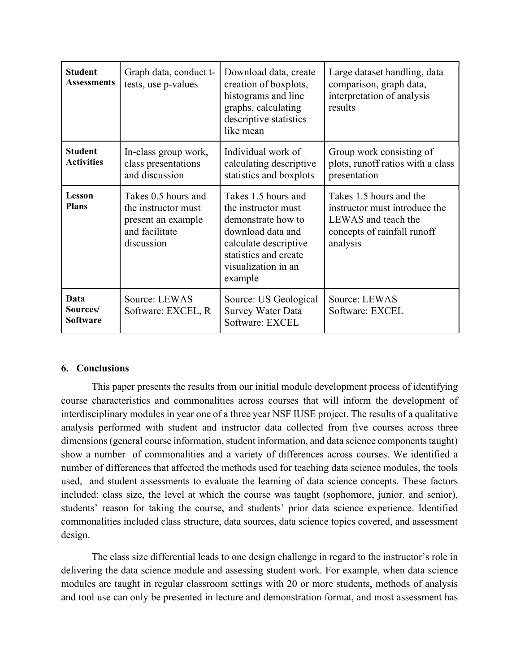| <b>Student</b><br><b>Assessments</b> | Graph data, conduct t-<br>tests, use p-values                                                    | Download data, create<br>creation of boxplots,<br>histograms and line<br>graphs, calculating<br>descriptive statistics<br>like mean                                       | Large dataset handling, data<br>comparison, graph data,<br>interpretation of analysis<br>results                           |
|--------------------------------------|--------------------------------------------------------------------------------------------------|---------------------------------------------------------------------------------------------------------------------------------------------------------------------------|----------------------------------------------------------------------------------------------------------------------------|
| <b>Student</b><br><b>Activities</b>  | In-class group work,<br>class presentations<br>and discussion                                    | Individual work of<br>calculating descriptive<br>statistics and boxplots                                                                                                  | Group work consisting of<br>plots, runoff ratios with a class<br>presentation                                              |
| Lesson<br><b>Plans</b>               | Takes 0.5 hours and<br>the instructor must<br>present an example<br>and facilitate<br>discussion | Takes 1.5 hours and<br>the instructor must<br>demonstrate how to<br>download data and<br>calculate descriptive<br>statistics and create<br>visualization in an<br>example | Takes 1.5 hours and the<br>instructor must introduce the<br>LEWAS and teach the<br>concepts of rainfall runoff<br>analysis |
| Data<br>Sources/<br><b>Software</b>  | Source: LEWAS<br>Software: EXCEL, R                                                              | Source: US Geological<br><b>Survey Water Data</b><br>Software: EXCEL                                                                                                      | Source: LEWAS<br>Software: EXCEL                                                                                           |

# 6. Conclusions

This paper presents the results from our initial module development process of identifying course characteristics and commonalities across courses that will inform the development of interdisciplinary modules in year one of a three year NSF IUSE project. The results of a qualitative analysis performed with student and instructor data collected from five courses across three dimensions (general course information, student information, and data science components taught) show a number of commonalities and a variety of differences across courses. We identified a number of differences that affected the methods used for teaching data science modules, the tools used, and student assessments to evaluate the learning of data science concepts. These factors included: class size, the level at which the course was taught (sophomore, junior, and senior), students' reason for taking the course, and students' prior data science experience. Identified commonalities included class structure, data sources, data science topics covered, and assessment design.

The class size differential leads to one design challenge in regard to the instructor's role in delivering the data science module and assessing student work. For example, when data science modules are taught in regular classroom settings with 20 or more students, methods of analysis and tool use can only be presented in lecture and demonstration format, and most assessment has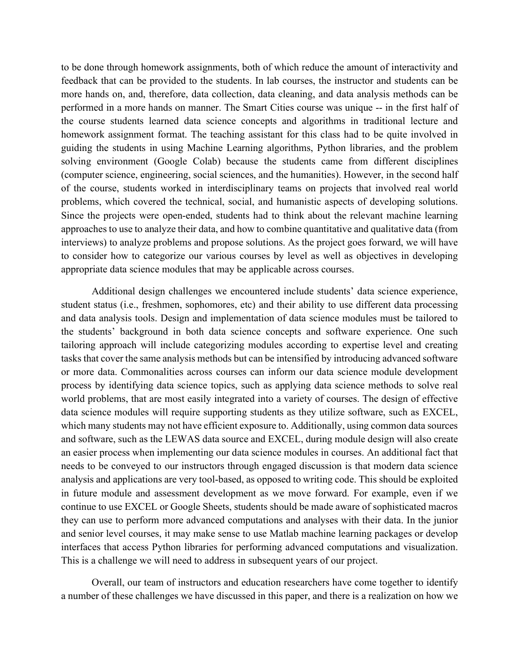to be done through homework assignments, both of which reduce the amount of interactivity and feedback that can be provided to the students. In lab courses, the instructor and students can be more hands on, and, therefore, data collection, data cleaning, and data analysis methods can be performed in a more hands on manner. The Smart Cities course was unique -- in the first half of the course students learned data science concepts and algorithms in traditional lecture and homework assignment format. The teaching assistant for this class had to be quite involved in guiding the students in using Machine Learning algorithms, Python libraries, and the problem solving environment (Google Colab) because the students came from different disciplines (computer science, engineering, social sciences, and the humanities). However, in the second half of the course, students worked in interdisciplinary teams on projects that involved real world problems, which covered the technical, social, and humanistic aspects of developing solutions. Since the projects were open-ended, students had to think about the relevant machine learning approaches to use to analyze their data, and how to combine quantitative and qualitative data (from interviews) to analyze problems and propose solutions. As the project goes forward, we will have to consider how to categorize our various courses by level as well as objectives in developing appropriate data science modules that may be applicable across courses.

Additional design challenges we encountered include students' data science experience, student status (i.e., freshmen, sophomores, etc) and their ability to use different data processing and data analysis tools. Design and implementation of data science modules must be tailored to the students' background in both data science concepts and software experience. One such tailoring approach will include categorizing modules according to expertise level and creating tasks that cover the same analysis methods but can be intensified by introducing advanced software or more data. Commonalities across courses can inform our data science module development process by identifying data science topics, such as applying data science methods to solve real world problems, that are most easily integrated into a variety of courses. The design of effective data science modules will require supporting students as they utilize software, such as EXCEL, which many students may not have efficient exposure to. Additionally, using common data sources and software, such as the LEWAS data source and EXCEL, during module design will also create an easier process when implementing our data science modules in courses. An additional fact that needs to be conveyed to our instructors through engaged discussion is that modern data science analysis and applications are very tool-based, as opposed to writing code. This should be exploited in future module and assessment development as we move forward. For example, even if we continue to use EXCEL or Google Sheets, students should be made aware of sophisticated macros they can use to perform more advanced computations and analyses with their data. In the junior and senior level courses, it may make sense to use Matlab machine learning packages or develop interfaces that access Python libraries for performing advanced computations and visualization. This is a challenge we will need to address in subsequent years of our project.

Overall, our team of instructors and education researchers have come together to identify a number of these challenges we have discussed in this paper, and there is a realization on how we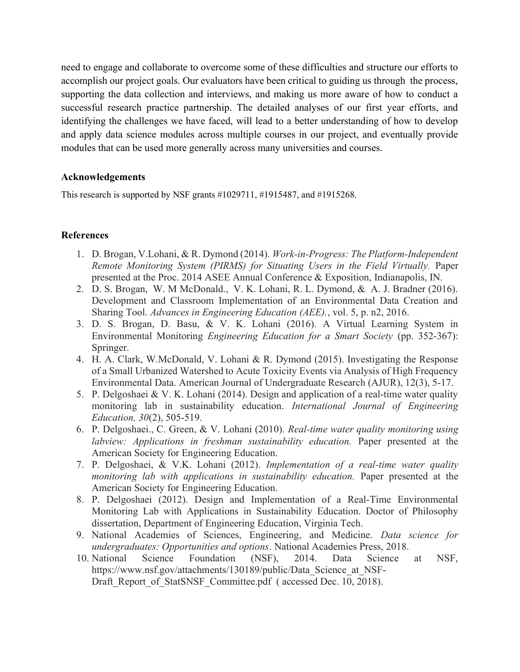need to engage and collaborate to overcome some of these difficulties and structure our efforts to accomplish our project goals. Our evaluators have been critical to guiding us through the process, supporting the data collection and interviews, and making us more aware of how to conduct a successful research practice partnership. The detailed analyses of our first year efforts, and identifying the challenges we have faced, will lead to a better understanding of how to develop and apply data science modules across multiple courses in our project, and eventually provide modules that can be used more generally across many universities and courses.

## Acknowledgements

This research is supported by NSF grants #1029711, #1915487, and #1915268.

## References

- 1. D. Brogan, V.Lohani, & R. Dymond (2014). Work-in-Progress: The Platform-Independent Remote Monitoring System (PIRMS) for Situating Users in the Field Virtually. Paper presented at the Proc. 2014 ASEE Annual Conference & Exposition, Indianapolis, IN.
- 2. D. S. Brogan, W. M McDonald., V. K. Lohani, R. L. Dymond, & A. J. Bradner (2016). Development and Classroom Implementation of an Environmental Data Creation and Sharing Tool. Advances in Engineering Education (AEE)., vol. 5, p. n2, 2016.
- 3. D. S. Brogan, D. Basu, & V. K. Lohani (2016). A Virtual Learning System in Environmental Monitoring Engineering Education for a Smart Society (pp. 352-367): Springer.
- 4. H. A. Clark, W.McDonald, V. Lohani & R. Dymond (2015). Investigating the Response of a Small Urbanized Watershed to Acute Toxicity Events via Analysis of High Frequency Environmental Data. American Journal of Undergraduate Research (AJUR), 12(3), 5-17.
- 5. P. Delgoshaei & V. K. Lohani (2014). Design and application of a real-time water quality monitoring lab in sustainability education. International Journal of Engineering Education, 30(2), 505-519.
- 6. P. Delgoshaei., C. Green, & V. Lohani (2010). Real-time water quality monitoring using labview: Applications in freshman sustainability education. Paper presented at the American Society for Engineering Education.
- 7. P. Delgoshaei, & V.K. Lohani (2012). Implementation of a real-time water quality monitoring lab with applications in sustainability education. Paper presented at the American Society for Engineering Education.
- 8. P. Delgoshaei (2012). Design and Implementation of a Real-Time Environmental Monitoring Lab with Applications in Sustainability Education. Doctor of Philosophy dissertation, Department of Engineering Education, Virginia Tech.
- 9. National Academies of Sciences, Engineering, and Medicine. Data science for undergraduates: Opportunities and options. National Academies Press, 2018.
- 10. National Science Foundation (NSF), 2014. Data Science at NSF, https://www.nsf.gov/attachments/130189/public/Data\_Science\_at\_NSF-Draft\_Report\_of\_StatSNSF\_Committee.pdf ( accessed Dec. 10, 2018).